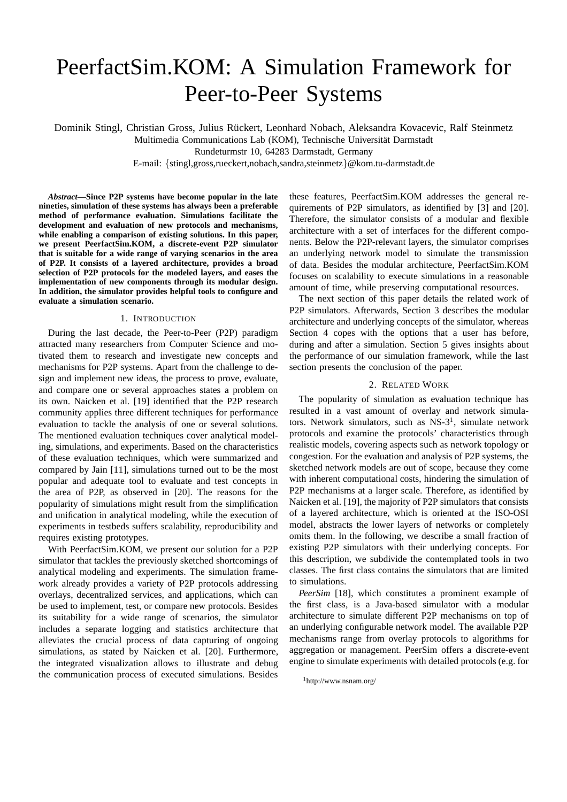# PeerfactSim.KOM: A Simulation Framework for Peer-to-Peer Systems

Dominik Stingl, Christian Gross, Julius Rückert, Leonhard Nobach, Aleksandra Kovacevic, Ralf Steinmetz

Multimedia Communications Lab (KOM), Technische Universität Darmstadt

Rundeturmstr 10, 64283 Darmstadt, Germany

E-mail: {stingl,gross,rueckert,nobach,sandra,steinmetz}@kom.tu-darmstadt.de

*Abstract***—Since P2P systems have become popular in the late nineties, simulation of these systems has always been a preferable method of performance evaluation. Simulations facilitate the development and evaluation of new protocols and mechanisms, while enabling a comparison of existing solutions. In this paper, we present PeerfactSim.KOM, a discrete-event P2P simulator that is suitable for a wide range of varying scenarios in the area of P2P. It consists of a layered architecture, provides a broad selection of P2P protocols for the modeled layers, and eases the implementation of new components through its modular design. In addition, the simulator provides helpful tools to configure and evaluate a simulation scenario.**

## 1. INTRODUCTION

During the last decade, the Peer-to-Peer (P2P) paradigm attracted many researchers from Computer Science and motivated them to research and investigate new concepts and mechanisms for P2P systems. Apart from the challenge to design and implement new ideas, the process to prove, evaluate, and compare one or several approaches states a problem on its own. Naicken et al. [19] identified that the P2P research community applies three different techniques for performance evaluation to tackle the analysis of one or several solutions. The mentioned evaluation techniques cover analytical modeling, simulations, and experiments. Based on the characteristics of these evaluation techniques, which were summarized and compared by Jain [11], simulations turned out to be the most popular and adequate tool to evaluate and test concepts in the area of P2P, as observed in [20]. The reasons for the popularity of simulations might result from the simplification and unification in analytical modeling, while the execution of experiments in testbeds suffers scalability, reproducibility and requires existing prototypes.

With PeerfactSim.KOM, we present our solution for a P2P simulator that tackles the previously sketched shortcomings of analytical modeling and experiments. The simulation framework already provides a variety of P2P protocols addressing overlays, decentralized services, and applications, which can be used to implement, test, or compare new protocols. Besides its suitability for a wide range of scenarios, the simulator includes a separate logging and statistics architecture that alleviates the crucial process of data capturing of ongoing simulations, as stated by Naicken et al. [20]. Furthermore, the integrated visualization allows to illustrate and debug the communication process of executed simulations. Besides these features, PeerfactSim.KOM addresses the general requirements of P2P simulators, as identified by [3] and [20]. Therefore, the simulator consists of a modular and flexible architecture with a set of interfaces for the different components. Below the P2P-relevant layers, the simulator comprises an underlying network model to simulate the transmission of data. Besides the modular architecture, PeerfactSim.KOM focuses on scalability to execute simulations in a reasonable amount of time, while preserving computational resources.

The next section of this paper details the related work of P2P simulators. Afterwards, Section 3 describes the modular architecture and underlying concepts of the simulator, whereas Section 4 copes with the options that a user has before, during and after a simulation. Section 5 gives insights about the performance of our simulation framework, while the last section presents the conclusion of the paper.

# 2. RELATED WORK

The popularity of simulation as evaluation technique has resulted in a vast amount of overlay and network simulators. Network simulators, such as  $NS-3<sup>1</sup>$ , simulate network protocols and examine the protocols' characteristics through realistic models, covering aspects such as network topology or congestion. For the evaluation and analysis of P2P systems, the sketched network models are out of scope, because they come with inherent computational costs, hindering the simulation of P2P mechanisms at a larger scale. Therefore, as identified by Naicken et al. [19], the majority of P2P simulators that consists of a layered architecture, which is oriented at the ISO-OSI model, abstracts the lower layers of networks or completely omits them. In the following, we describe a small fraction of existing P2P simulators with their underlying concepts. For this description, we subdivide the contemplated tools in two classes. The first class contains the simulators that are limited to simulations.

*PeerSim* [18], which constitutes a prominent example of the first class, is a Java-based simulator with a modular architecture to simulate different P2P mechanisms on top of an underlying configurable network model. The available P2P mechanisms range from overlay protocols to algorithms for aggregation or management. PeerSim offers a discrete-event engine to simulate experiments with detailed protocols (e.g. for

<sup>1</sup>http://www.nsnam.org/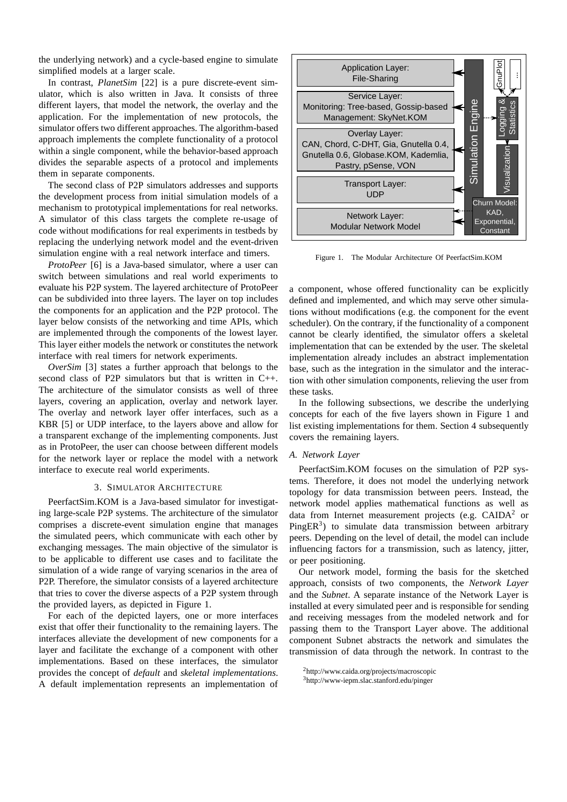the underlying network) and a cycle-based engine to simulate simplified models at a larger scale.

In contrast, *PlanetSim* [22] is a pure discrete-event simulator, which is also written in Java. It consists of three different layers, that model the network, the overlay and the application. For the implementation of new protocols, the simulator offers two different approaches. The algorithm-based approach implements the complete functionality of a protocol within a single component, while the behavior-based approach divides the separable aspects of a protocol and implements them in separate components.

The second class of P2P simulators addresses and supports the development process from initial simulation models of a mechanism to prototypical implementations for real networks. A simulator of this class targets the complete re-usage of code without modifications for real experiments in testbeds by replacing the underlying network model and the event-driven simulation engine with a real network interface and timers.

*ProtoPeer* [6] is a Java-based simulator, where a user can switch between simulations and real world experiments to evaluate his P2P system. The layered architecture of ProtoPeer can be subdivided into three layers. The layer on top includes the components for an application and the P2P protocol. The layer below consists of the networking and time APIs, which are implemented through the components of the lowest layer. This layer either models the network or constitutes the network interface with real timers for network experiments.

*OverSim* [3] states a further approach that belongs to the second class of P2P simulators but that is written in C++. The architecture of the simulator consists as well of three layers, covering an application, overlay and network layer. The overlay and network layer offer interfaces, such as a KBR [5] or UDP interface, to the layers above and allow for a transparent exchange of the implementing components. Just as in ProtoPeer, the user can choose between different models for the network layer or replace the model with a network interface to execute real world experiments.

# 3. SIMULATOR ARCHITECTURE

PeerfactSim.KOM is a Java-based simulator for investigating large-scale P2P systems. The architecture of the simulator comprises a discrete-event simulation engine that manages the simulated peers, which communicate with each other by exchanging messages. The main objective of the simulator is to be applicable to different use cases and to facilitate the simulation of a wide range of varying scenarios in the area of P2P. Therefore, the simulator consists of a layered architecture that tries to cover the diverse aspects of a P2P system through the provided layers, as depicted in Figure 1.

For each of the depicted layers, one or more interfaces exist that offer their functionality to the remaining layers. The interfaces alleviate the development of new components for a layer and facilitate the exchange of a component with other implementations. Based on these interfaces, the simulator provides the concept of *default* and *skeletal implementations*. A default implementation represents an implementation of



Figure 1. The Modular Architecture Of PeerfactSim.KOM

a component, whose offered functionality can be explicitly defined and implemented, and which may serve other simulations without modifications (e.g. the component for the event scheduler). On the contrary, if the functionality of a component cannot be clearly identified, the simulator offers a skeletal implementation that can be extended by the user. The skeletal implementation already includes an abstract implementation base, such as the integration in the simulator and the interaction with other simulation components, relieving the user from these tasks.

In the following subsections, we describe the underlying concepts for each of the five layers shown in Figure 1 and list existing implementations for them. Section 4 subsequently covers the remaining layers.

# *A. Network Layer*

PeerfactSim.KOM focuses on the simulation of P2P systems. Therefore, it does not model the underlying network topology for data transmission between peers. Instead, the network model applies mathematical functions as well as data from Internet measurement projects (e.g.  $CAIDA<sup>2</sup>$  or Ping $ER<sup>3</sup>$ ) to simulate data transmission between arbitrary peers. Depending on the level of detail, the model can include influencing factors for a transmission, such as latency, jitter, or peer positioning.

Our network model, forming the basis for the sketched approach, consists of two components, the *Network Layer* and the *Subnet*. A separate instance of the Network Layer is installed at every simulated peer and is responsible for sending and receiving messages from the modeled network and for passing them to the Transport Layer above. The additional component Subnet abstracts the network and simulates the transmission of data through the network. In contrast to the

<sup>2</sup>http://www.caida.org/projects/macroscopic

<sup>3</sup>http://www-iepm.slac.stanford.edu/pinger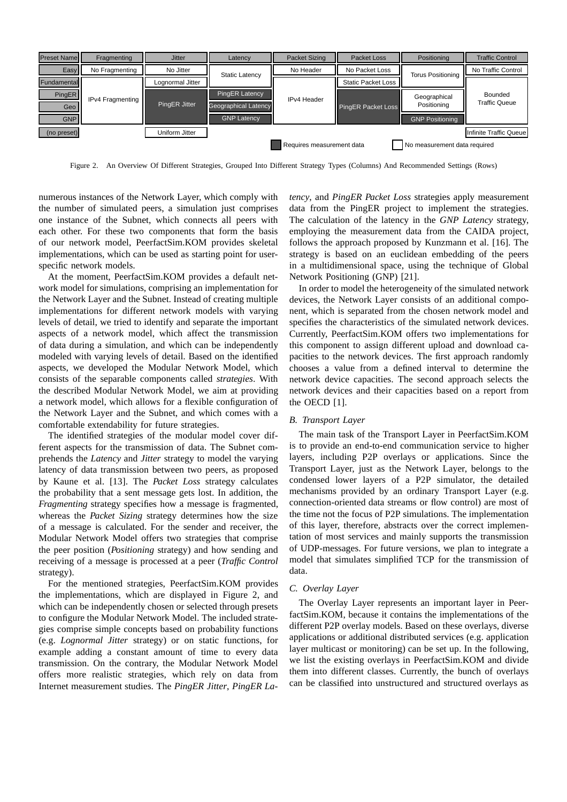

Figure 2. An Overview Of Different Strategies, Grouped Into Different Strategy Types (Columns) And Recommended Settings (Rows)

numerous instances of the Network Layer, which comply with the number of simulated peers, a simulation just comprises one instance of the Subnet, which connects all peers with each other. For these two components that form the basis of our network model, PeerfactSim.KOM provides skeletal implementations, which can be used as starting point for userspecific network models.

At the moment, PeerfactSim.KOM provides a default network model for simulations, comprising an implementation for the Network Layer and the Subnet. Instead of creating multiple implementations for different network models with varying levels of detail, we tried to identify and separate the important aspects of a network model, which affect the transmission of data during a simulation, and which can be independently modeled with varying levels of detail. Based on the identified aspects, we developed the Modular Network Model, which consists of the separable components called *strategies*. With the described Modular Network Model, we aim at providing a network model, which allows for a flexible configuration of the Network Layer and the Subnet, and which comes with a comfortable extendability for future strategies.

The identified strategies of the modular model cover different aspects for the transmission of data. The Subnet comprehends the *Latency* and *Jitter* strategy to model the varying latency of data transmission between two peers, as proposed by Kaune et al. [13]. The *Packet Loss* strategy calculates the probability that a sent message gets lost. In addition, the *Fragmenting* strategy specifies how a message is fragmented, whereas the *Packet Sizing* strategy determines how the size of a message is calculated. For the sender and receiver, the Modular Network Model offers two strategies that comprise the peer position (*Positioning* strategy) and how sending and receiving of a message is processed at a peer (*Traffic Control* strategy).

For the mentioned strategies, PeerfactSim.KOM provides the implementations, which are displayed in Figure 2, and which can be independently chosen or selected through presets to configure the Modular Network Model. The included strategies comprise simple concepts based on probability functions (e.g. *Lognormal Jitter* strategy) or on static functions, for example adding a constant amount of time to every data transmission. On the contrary, the Modular Network Model offers more realistic strategies, which rely on data from Internet measurement studies. The *PingER Jitter*, *PingER La-* *tency*, and *PingER Packet Loss* strategies apply measurement data from the PingER project to implement the strategies. The calculation of the latency in the *GNP Latency* strategy, employing the measurement data from the CAIDA project, follows the approach proposed by Kunzmann et al. [16]. The strategy is based on an euclidean embedding of the peers in a multidimensional space, using the technique of Global Network Positioning (GNP) [21].

In order to model the heterogeneity of the simulated network devices, the Network Layer consists of an additional component, which is separated from the chosen network model and specifies the characteristics of the simulated network devices. Currently, PeerfactSim.KOM offers two implementations for this component to assign different upload and download capacities to the network devices. The first approach randomly chooses a value from a defined interval to determine the network device capacities. The second approach selects the network devices and their capacities based on a report from the OECD [1].

#### *B. Transport Layer*

The main task of the Transport Layer in PeerfactSim.KOM is to provide an end-to-end communication service to higher layers, including P2P overlays or applications. Since the Transport Layer, just as the Network Layer, belongs to the condensed lower layers of a P2P simulator, the detailed mechanisms provided by an ordinary Transport Layer (e.g. connection-oriented data streams or flow control) are most of the time not the focus of P2P simulations. The implementation of this layer, therefore, abstracts over the correct implementation of most services and mainly supports the transmission of UDP-messages. For future versions, we plan to integrate a model that simulates simplified TCP for the transmission of data.

# *C. Overlay Layer*

The Overlay Layer represents an important layer in PeerfactSim.KOM, because it contains the implementations of the different P2P overlay models. Based on these overlays, diverse applications or additional distributed services (e.g. application layer multicast or monitoring) can be set up. In the following, we list the existing overlays in PeerfactSim.KOM and divide them into different classes. Currently, the bunch of overlays can be classified into unstructured and structured overlays as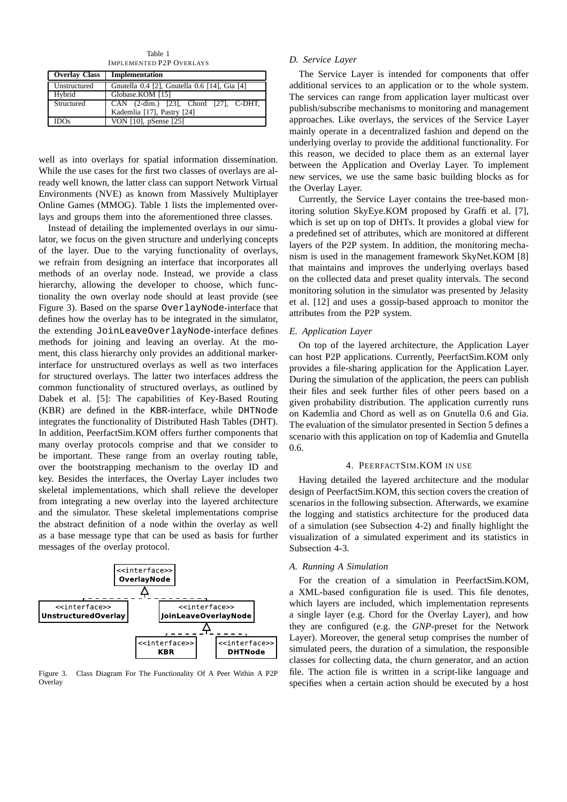Table 1 IMPLEMENTED P2P OVERLAYS

| <b>Overlay Class</b> | Implementation                                                      |  |  |
|----------------------|---------------------------------------------------------------------|--|--|
| Unstructured         | Gnutella 0.4 [2], Gnutella 0.6 [14], Gia [4]                        |  |  |
| Hvbrid               | Globase.KOM [15]                                                    |  |  |
| Structured           | CAN (2-dim.) [23], Chord [27], C-DHT,<br>Kademlia [17], Pastry [24] |  |  |
|                      |                                                                     |  |  |
| <b>IDOs</b>          | VON [10], pSense [25]                                               |  |  |

well as into overlays for spatial information dissemination. While the use cases for the first two classes of overlays are already well known, the latter class can support Network Virtual Environments (NVE) as known from Massively Multiplayer Online Games (MMOG). Table 1 lists the implemented overlays and groups them into the aforementioned three classes.

Instead of detailing the implemented overlays in our simulator, we focus on the given structure and underlying concepts of the layer. Due to the varying functionality of overlays, we refrain from designing an interface that incorporates all methods of an overlay node. Instead, we provide a class hierarchy, allowing the developer to choose, which functionality the own overlay node should at least provide (see Figure 3). Based on the sparse OverlayNode-interface that defines how the overlay has to be integrated in the simulator, the extending JoinLeaveOverlayNode-interface defines methods for joining and leaving an overlay. At the moment, this class hierarchy only provides an additional markerinterface for unstructured overlays as well as two interfaces for structured overlays. The latter two interfaces address the common functionality of structured overlays, as outlined by Dabek et al. [5]: The capabilities of Key-Based Routing (KBR) are defined in the KBR-interface, while DHTNode integrates the functionality of Distributed Hash Tables (DHT). In addition, PeerfactSim.KOM offers further components that many overlay protocols comprise and that we consider to be important. These range from an overlay routing table, over the bootstrapping mechanism to the overlay ID and key. Besides the interfaces, the Overlay Layer includes two skeletal implementations, which shall relieve the developer from integrating a new overlay into the layered architecture and the simulator. These skeletal implementations comprise the abstract definition of a node within the overlay as well as a base message type that can be used as basis for further messages of the overlay protocol.



Figure 3. Class Diagram For The Functionality Of A Peer Within A P2P **Overlay** 

#### *D. Service Layer*

The Service Layer is intended for components that offer additional services to an application or to the whole system. The services can range from application layer multicast over publish/subscribe mechanisms to monitoring and management approaches. Like overlays, the services of the Service Layer mainly operate in a decentralized fashion and depend on the underlying overlay to provide the additional functionality. For this reason, we decided to place them as an external layer between the Application and Overlay Layer. To implement new services, we use the same basic building blocks as for the Overlay Layer.

Currently, the Service Layer contains the tree-based monitoring solution SkyEye.KOM proposed by Graffi et al. [7], which is set up on top of DHTs. It provides a global view for a predefined set of attributes, which are monitored at different layers of the P2P system. In addition, the monitoring mechanism is used in the management framework SkyNet.KOM [8] that maintains and improves the underlying overlays based on the collected data and preset quality intervals. The second monitoring solution in the simulator was presented by Jelasity et al. [12] and uses a gossip-based approach to monitor the attributes from the P2P system.

# *E. Application Layer*

On top of the layered architecture, the Application Layer can host P2P applications. Currently, PeerfactSim.KOM only provides a file-sharing application for the Application Layer. During the simulation of the application, the peers can publish their files and seek further files of other peers based on a given probability distribution. The application currently runs on Kademlia and Chord as well as on Gnutella 0.6 and Gia. The evaluation of the simulator presented in Section 5 defines a scenario with this application on top of Kademlia and Gnutella 0.6.

## 4. PEERFACTSIM.KOM IN USE

Having detailed the layered architecture and the modular design of PeerfactSim.KOM, this section covers the creation of scenarios in the following subsection. Afterwards, we examine the logging and statistics architecture for the produced data of a simulation (see Subsection 4-2) and finally highlight the visualization of a simulated experiment and its statistics in Subsection 4-3.

#### *A. Running A Simulation*

For the creation of a simulation in PeerfactSim.KOM, a XML-based configuration file is used. This file denotes, which layers are included, which implementation represents a single layer (e.g. Chord for the Overlay Layer), and how they are configured (e.g. the *GNP*-preset for the Network Layer). Moreover, the general setup comprises the number of simulated peers, the duration of a simulation, the responsible classes for collecting data, the churn generator, and an action file. The action file is written in a script-like language and specifies when a certain action should be executed by a host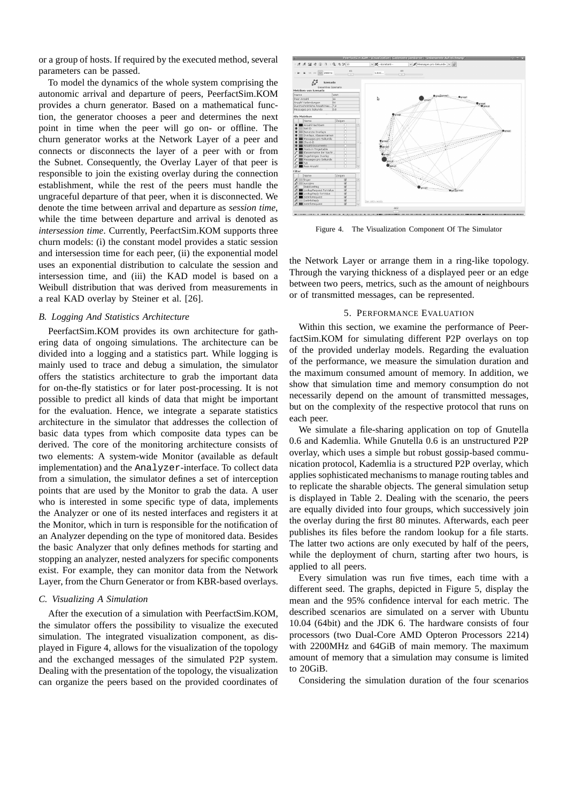or a group of hosts. If required by the executed method, several parameters can be passed.

To model the dynamics of the whole system comprising the autonomic arrival and departure of peers, PeerfactSim.KOM provides a churn generator. Based on a mathematical function, the generator chooses a peer and determines the next point in time when the peer will go on- or offline. The churn generator works at the Network Layer of a peer and connects or disconnects the layer of a peer with or from the Subnet. Consequently, the Overlay Layer of that peer is responsible to join the existing overlay during the connection establishment, while the rest of the peers must handle the ungraceful departure of that peer, when it is disconnected. We denote the time between arrival and departure as *session time*, while the time between departure and arrival is denoted as *intersession time*. Currently, PeerfactSim.KOM supports three churn models: (i) the constant model provides a static session and intersession time for each peer, (ii) the exponential model uses an exponential distribution to calculate the session and intersession time, and (iii) the KAD model is based on a Weibull distribution that was derived from measurements in a real KAD overlay by Steiner et al. [26].

# *B. Logging And Statistics Architecture*

PeerfactSim.KOM provides its own architecture for gathering data of ongoing simulations. The architecture can be divided into a logging and a statistics part. While logging is mainly used to trace and debug a simulation, the simulator offers the statistics architecture to grab the important data for on-the-fly statistics or for later post-processing. It is not possible to predict all kinds of data that might be important for the evaluation. Hence, we integrate a separate statistics architecture in the simulator that addresses the collection of basic data types from which composite data types can be derived. The core of the monitoring architecture consists of two elements: A system-wide Monitor (available as default implementation) and the Analyzer-interface. To collect data from a simulation, the simulator defines a set of interception points that are used by the Monitor to grab the data. A user who is interested in some specific type of data, implements the Analyzer or one of its nested interfaces and registers it at the Monitor, which in turn is responsible for the notification of an Analyzer depending on the type of monitored data. Besides the basic Analyzer that only defines methods for starting and stopping an analyzer, nested analyzers for specific components exist. For example, they can monitor data from the Network Layer, from the Churn Generator or from KBR-based overlays.

# *C. Visualizing A Simulation*

After the execution of a simulation with PeerfactSim.KOM, the simulator offers the possibility to visualize the executed simulation. The integrated visualization component, as displayed in Figure 4, allows for the visualization of the topology and the exchanged messages of the simulated P2P system. Dealing with the presentation of the topology, the visualization can organize the peers based on the provided coordinates of



Figure 4. The Visualization Component Of The Simulator

the Network Layer or arrange them in a ring-like topology. Through the varying thickness of a displayed peer or an edge between two peers, metrics, such as the amount of neighbours or of transmitted messages, can be represented.

# 5. PERFORMANCE EVALUATION

Within this section, we examine the performance of PeerfactSim.KOM for simulating different P2P overlays on top of the provided underlay models. Regarding the evaluation of the performance, we measure the simulation duration and the maximum consumed amount of memory. In addition, we show that simulation time and memory consumption do not necessarily depend on the amount of transmitted messages, but on the complexity of the respective protocol that runs on each peer.

We simulate a file-sharing application on top of Gnutella 0.6 and Kademlia. While Gnutella 0.6 is an unstructured P2P overlay, which uses a simple but robust gossip-based communication protocol, Kademlia is a structured P2P overlay, which applies sophisticated mechanisms to manage routing tables and to replicate the sharable objects. The general simulation setup is displayed in Table 2. Dealing with the scenario, the peers are equally divided into four groups, which successively join the overlay during the first 80 minutes. Afterwards, each peer publishes its files before the random lookup for a file starts. The latter two actions are only executed by half of the peers, while the deployment of churn, starting after two hours, is applied to all peers.

Every simulation was run five times, each time with a different seed. The graphs, depicted in Figure 5, display the mean and the 95% confidence interval for each metric. The described scenarios are simulated on a server with Ubuntu 10.04 (64bit) and the JDK 6. The hardware consists of four processors (two Dual-Core AMD Opteron Processors 2214) with 2200MHz and 64GiB of main memory. The maximum amount of memory that a simulation may consume is limited to 20GiB.

Considering the simulation duration of the four scenarios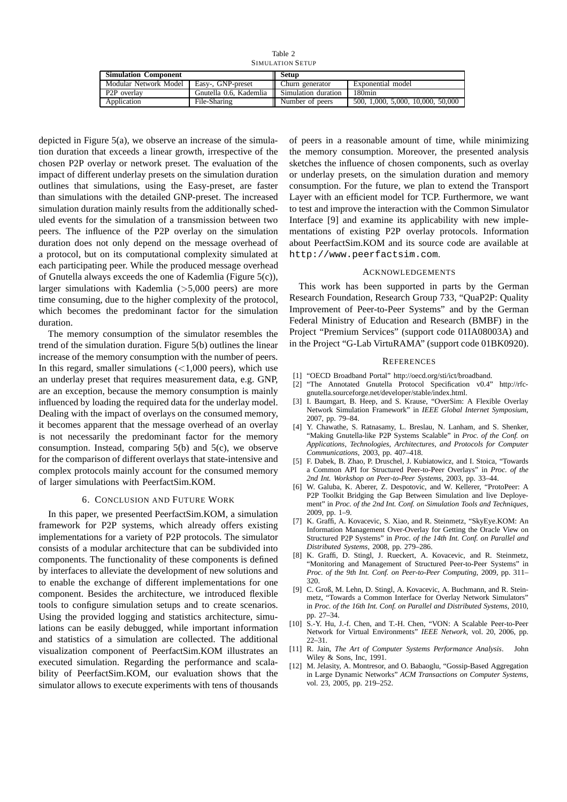Table 2 SIMULATION SETUP

| <b>Simulation Component</b> |                        | Setup                      |                                   |
|-----------------------------|------------------------|----------------------------|-----------------------------------|
| Modular Network Model       | Easy-, GNP-preset      | Churn generator            | Exponential model                 |
| P <sub>2</sub> P overlay    | Gnutella 0.6. Kademlia | <b>Simulation duration</b> | 180min                            |
| Application                 | File-Sharing           | Number of peers            | 500, 1,000, 5,000, 10,000, 50,000 |

depicted in Figure 5(a), we observe an increase of the simulation duration that exceeds a linear growth, irrespective of the chosen P2P overlay or network preset. The evaluation of the impact of different underlay presets on the simulation duration outlines that simulations, using the Easy-preset, are faster than simulations with the detailed GNP-preset. The increased simulation duration mainly results from the additionally scheduled events for the simulation of a transmission between two peers. The influence of the P2P overlay on the simulation duration does not only depend on the message overhead of a protocol, but on its computational complexity simulated at each participating peer. While the produced message overhead of Gnutella always exceeds the one of Kademlia (Figure 5(c)), larger simulations with Kademlia (>5,000 peers) are more time consuming, due to the higher complexity of the protocol, which becomes the predominant factor for the simulation duration.

The memory consumption of the simulator resembles the trend of the simulation duration. Figure 5(b) outlines the linear increase of the memory consumption with the number of peers. In this regard, smaller simulations  $\left($  < 1,000 peers), which use an underlay preset that requires measurement data, e.g. GNP, are an exception, because the memory consumption is mainly influenced by loading the required data for the underlay model. Dealing with the impact of overlays on the consumed memory, it becomes apparent that the message overhead of an overlay is not necessarily the predominant factor for the memory consumption. Instead, comparing  $5(b)$  and  $5(c)$ , we observe for the comparison of different overlays that state-intensive and complex protocols mainly account for the consumed memory of larger simulations with PeerfactSim.KOM.

#### 6. CONCLUSION AND FUTURE WORK

In this paper, we presented PeerfactSim.KOM, a simulation framework for P2P systems, which already offers existing implementations for a variety of P2P protocols. The simulator consists of a modular architecture that can be subdivided into components. The functionality of these components is defined by interfaces to alleviate the development of new solutions and to enable the exchange of different implementations for one component. Besides the architecture, we introduced flexible tools to configure simulation setups and to create scenarios. Using the provided logging and statistics architecture, simulations can be easily debugged, while important information and statistics of a simulation are collected. The additional visualization component of PeerfactSim.KOM illustrates an executed simulation. Regarding the performance and scalability of PeerfactSim.KOM, our evaluation shows that the simulator allows to execute experiments with tens of thousands

of peers in a reasonable amount of time, while minimizing the memory consumption. Moreover, the presented analysis sketches the influence of chosen components, such as overlay or underlay presets, on the simulation duration and memory consumption. For the future, we plan to extend the Transport Layer with an efficient model for TCP. Furthermore, we want to test and improve the interaction with the Common Simulator Interface [9] and examine its applicability with new implementations of existing P2P overlay protocols. Information about PeerfactSim.KOM and its source code are available at http://www.peerfactsim.com.

#### ACKNOWLEDGEMENTS

This work has been supported in parts by the German Research Foundation, Research Group 733, "QuaP2P: Quality Improvement of Peer-to-Peer Systems" and by the German Federal Ministry of Education and Research (BMBF) in the Project "Premium Services" (support code 01IA08003A) and in the Project "G-Lab VirtuRAMA" (support code 01BK0920).

#### **REFERENCES**

- [1] "OECD Broadband Portal" http://oecd.org/sti/ict/broadband.
- [2] "The Annotated Gnutella Protocol Specification v0.4" http://rfcgnutella.sourceforge.net/developer/stable/index.html.
- [3] I. Baumgart, B. Heep, and S. Krause, "OverSim: A Flexible Overlay Network Simulation Framework" in *IEEE Global Internet Symposium*, 2007, pp. 79–84.
- [4] Y. Chawathe, S. Ratnasamy, L. Breslau, N. Lanham, and S. Shenker, "Making Gnutella-like P2P Systems Scalable" in *Proc. of the Conf. on Applications, Technologies, Architectures, and Protocols for Computer Communications*, 2003, pp. 407–418.
- [5] F. Dabek, B. Zhao, P. Druschel, J. Kubiatowicz, and I. Stoica, "Towards a Common API for Structured Peer-to-Peer Overlays" in *Proc. of the 2nd Int. Workshop on Peer-to-Peer Systems*, 2003, pp. 33–44.
- [6] W. Galuba, K. Aberer, Z. Despotovic, and W. Kellerer, "ProtoPeer: A P2P Toolkit Bridging the Gap Between Simulation and live Deployement" in *Proc. of the 2nd Int. Conf. on Simulation Tools and Techniques*, 2009, pp. 1–9.
- [7] K. Graffi, A. Kovacevic, S. Xiao, and R. Steinmetz, "SkyEye.KOM: An Information Management Over-Overlay for Getting the Oracle View on Structured P2P Systems" in *Proc. of the 14th Int. Conf. on Parallel and Distributed Systems*, 2008, pp. 279–286.
- [8] K. Graffi, D. Stingl, J. Rueckert, A. Kovacevic, and R. Steinmetz, "Monitoring and Management of Structured Peer-to-Peer Systems" in *Proc. of the 9th Int. Conf. on Peer-to-Peer Computing*, 2009, pp. 311– 320.
- [9] C. Groß, M. Lehn, D. Stingl, A. Kovacevic, A. Buchmann, and R. Steinmetz, "Towards a Common Interface for Overlay Network Simulators" in *Proc. of the 16th Int. Conf. on Parallel and Distributed Systems*, 2010, pp. 27–34.
- [10] S.-Y. Hu, J.-f. Chen, and T.-H. Chen, "VON: A Scalable Peer-to-Peer Network for Virtual Environments" *IEEE Network*, vol. 20, 2006, pp. 22–31.
- [11] R. Jain, *The Art of Computer Systems Performance Analysis*. John Wiley & Sons, Inc, 1991.
- [12] M. Jelasity, A. Montresor, and O. Babaoglu, "Gossip-Based Aggregation in Large Dynamic Networks" *ACM Transactions on Computer Systems*, vol. 23, 2005, pp. 219–252.